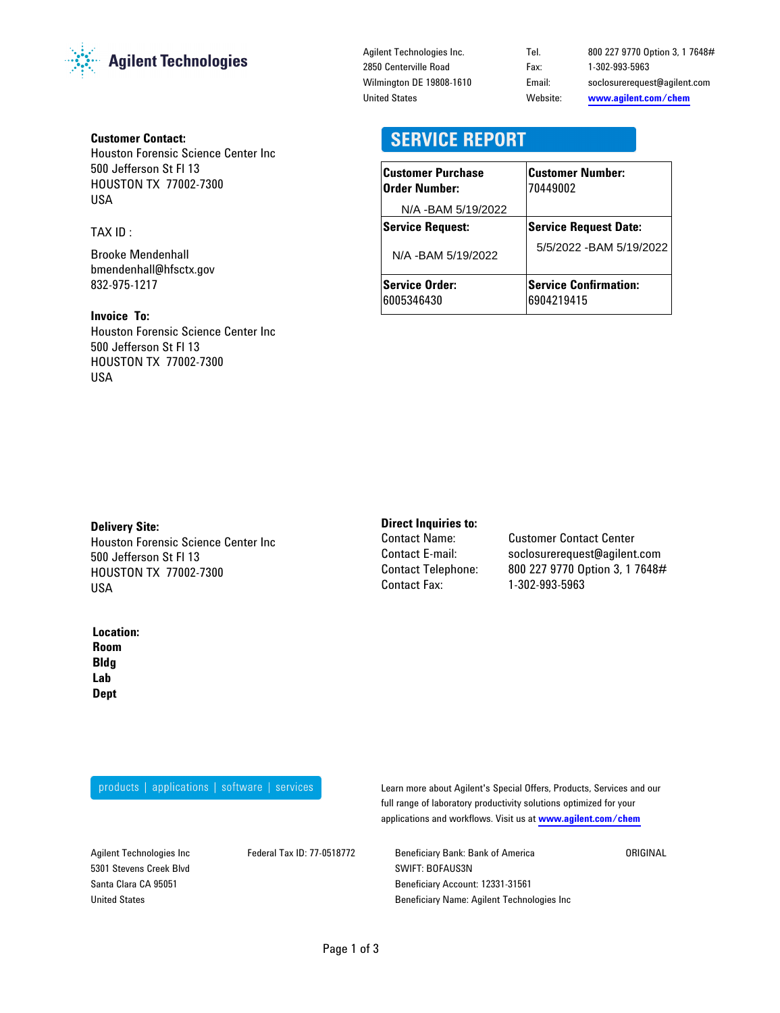

#### **Customer Contact:**

Houston Forensic Science Center Inc 500 Jefferson St Fl 13 HOUSTON TX 77002-7300 USA

#### TAX ID :

Brooke Mendenhall bmendenhall@hfsctx.gov 832-975-1217

#### **Invoice To:**

Houston Forensic Science Center Inc 500 Jefferson St Fl 13 HOUSTON TX 77002-7300 USA

Agilent Technologies Inc. 2850 Centerville Road Wilmington DE 19808-1610 United States

Email: soclosurerequest@agilent.com **www.agilent.com/chem** Tel. 800 227 9770 Option 3, 1 7648# Website: Fax: 1-302-993-5963

### **SERVICE REPORT**

| <b>Customer Purchase</b><br>Order Number: | <b>Customer Number:</b><br>70449002        |
|-------------------------------------------|--------------------------------------------|
| N/A - BAM 5/19/2022                       |                                            |
| <b>Service Request:</b>                   | <b>Service Request Date:</b>               |
| N/A - BAM 5/19/2022                       | 5/5/2022 - BAM 5/19/2022                   |
| <b>Service Order:</b><br>6005346430       | <b>Service Confirmation:</b><br>6904219415 |

#### **Delivery Site:**

Houston Forensic Science Center Inc 500 Jefferson St Fl 13 HOUSTON TX 77002-7300 USA

#### **Location:**

**Lab Dept Room Bldg**

# **Direct Inquiries to:**<br>Contact Name:

Contact Telephone: Contact Fax:

**Customer Contact Center** 800 227 9770 Option 3, 1 7648# 1-302-993-5963 Contact E-mail: soclosurerequest@agilent.com

products | applications | software | services

Learn more about Agilent's Special Offers, Products, Services and our full range of laboratory productivity solutions optimized for your applications and workflows. Visit us at **www.agilent.com/chem**

Agilent Technologies Inc 5301 Stevens Creek Blvd Santa Clara CA 95051 United States

Federal Tax ID: 77-0518772 Beneficiary Bank: Bank of America SWIFT: BOFAUS3N Beneficiary Account: 12331-31561 Beneficiary Name: Agilent Technologies Inc **ORIGINAL**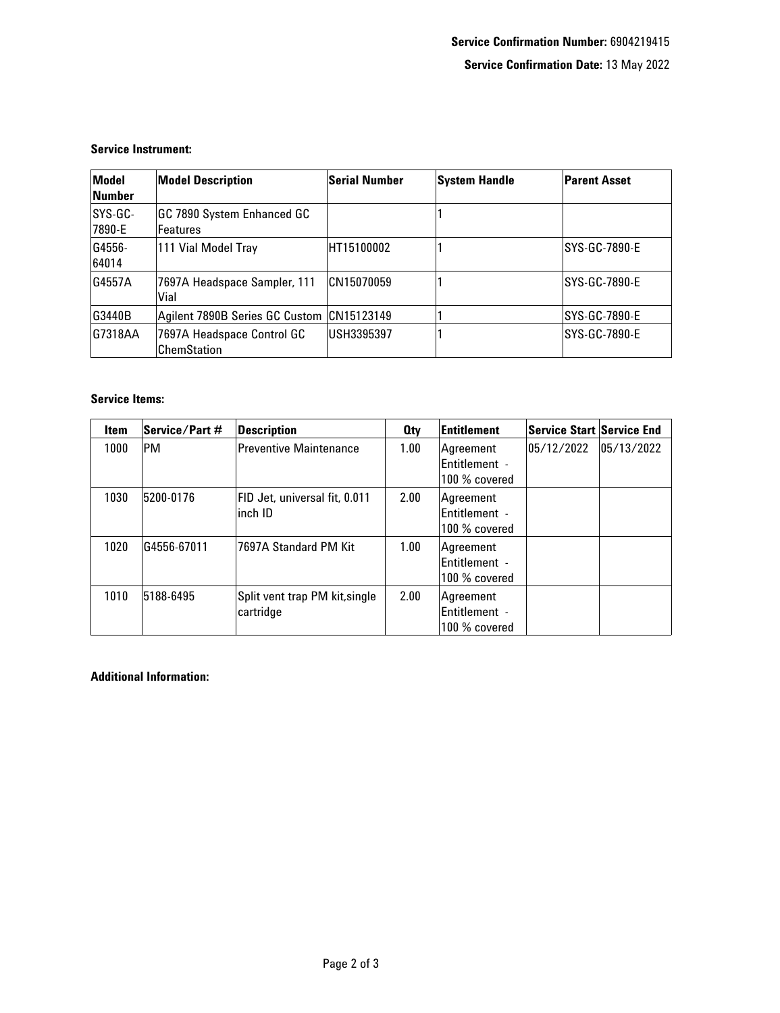#### **Service Instrument:**

| Model<br>Number   | <b>Model Description</b>                         | Serial Number | System Handle | <b>Parent Asset</b> |
|-------------------|--------------------------------------------------|---------------|---------------|---------------------|
| SYS-GC-<br>7890-E | GC 7890 System Enhanced GC<br><b>Features</b>    |               |               |                     |
| G4556-<br>64014   | 111 Vial Model Tray                              | HT15100002    |               | ISYS-GC-7890-E      |
| G4557A            | 7697A Headspace Sampler, 111<br>Vial             | CN15070059    |               | ISYS-GC-7890-E      |
| G3440B            | Agilent 7890B Series GC Custom  CN15123149       |               |               | ISYS-GC-7890-E      |
| G7318AA           | 7697A Headspace Control GC<br><b>ChemStation</b> | USH3395397    |               | SYS-GC-7890-E       |

#### **Service Items:**

| <b>Item</b> | Service/Part # | Description                                | 0 <sub>tv</sub> | Entitlement                                 | <b>Service Start Service End</b> |            |
|-------------|----------------|--------------------------------------------|-----------------|---------------------------------------------|----------------------------------|------------|
| 1000        | PM             | Preventive Maintenance                     | 1.00            | Agreement<br>Entitlement -<br>100 % covered | 05/12/2022                       | 05/13/2022 |
| 1030        | 5200-0176      | FID Jet, universal fit, 0.011<br>∣inch ID  | 2.00            | Agreement<br>Entitlement -<br>100 % covered |                                  |            |
| 1020        | G4556-67011    | 7697A Standard PM Kit                      | 1.00            | Agreement<br>Entitlement -<br>100 % covered |                                  |            |
| 1010        | 5188-6495      | Split vent trap PM kit,single<br>cartridge | 2.00            | Agreement<br>Entitlement -<br>100 % covered |                                  |            |

#### **Additional Information:**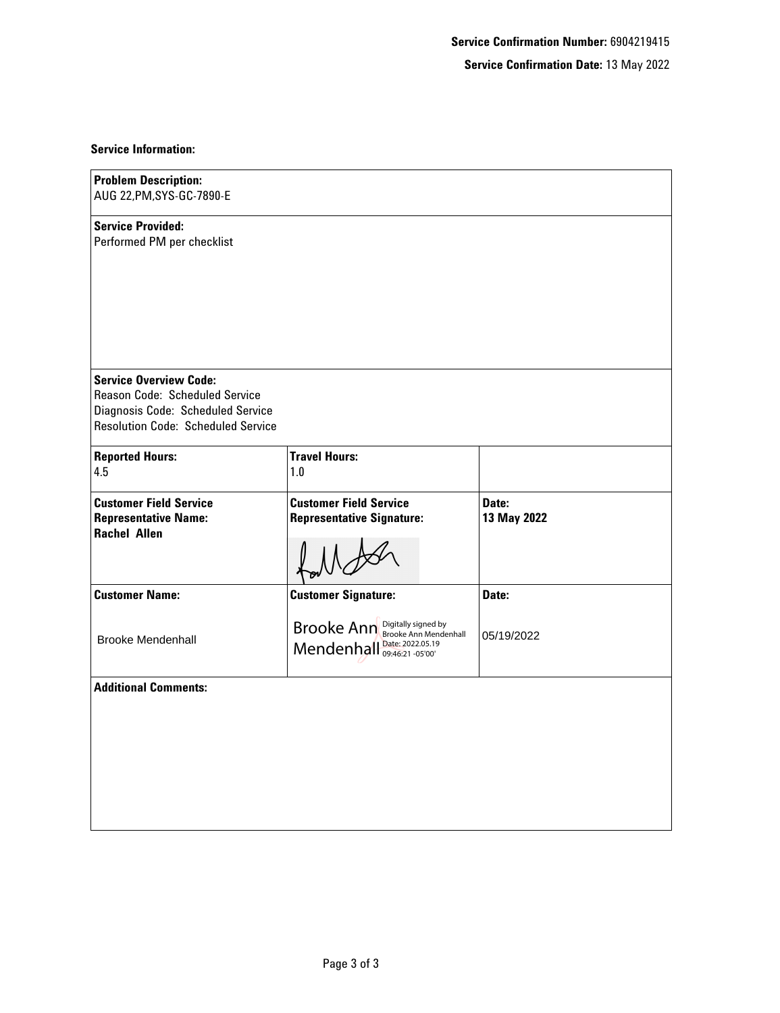#### **Service Confirmation Date:** 13 May 2022

#### **Service Information:**

| <b>Problem Description:</b><br>AUG 22, PM, SYS-GC-7890-E                                             |                                                                   |                      |
|------------------------------------------------------------------------------------------------------|-------------------------------------------------------------------|----------------------|
| <b>Service Provided:</b><br>Performed PM per checklist                                               |                                                                   |                      |
| <b>Service Overview Code:</b><br>Reason Code: Scheduled Service<br>Diagnosis Code: Scheduled Service |                                                                   |                      |
| <b>Resolution Code: Scheduled Service</b>                                                            |                                                                   |                      |
| <b>Reported Hours:</b><br>4.5                                                                        | <b>Travel Hours:</b><br>1.0                                       |                      |
| <b>Customer Field Service</b><br><b>Representative Name:</b><br><b>Rachel Allen</b>                  | <b>Customer Field Service</b><br><b>Representative Signature:</b> | Date:<br>13 May 2022 |
| <b>Customer Name:</b>                                                                                | <b>Customer Signature:</b>                                        | Date:                |
| <b>Brooke Mendenhall</b>                                                                             | Brooke Ann Digitally signed by<br>Mendenhall Date: 2022.05.19     | 05/19/2022           |
| <b>Additional Comments:</b>                                                                          |                                                                   |                      |
|                                                                                                      |                                                                   |                      |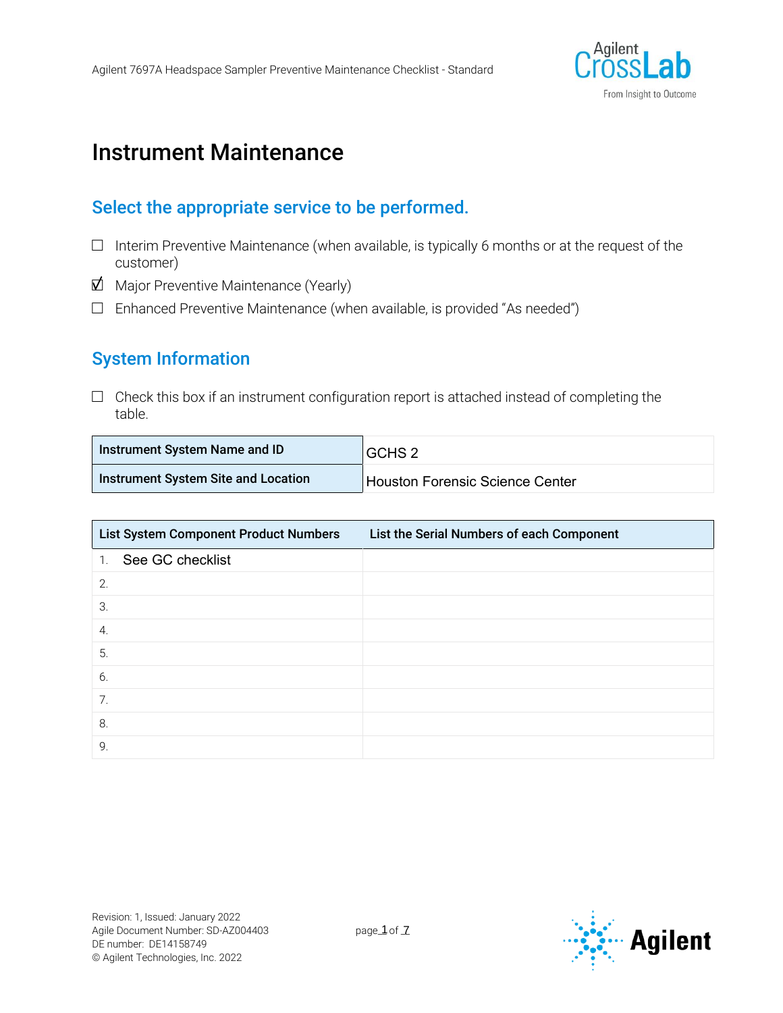

# Instrument Maintenance

#### Select the appropriate service to be performed.

- $\Box$  Interim Preventive Maintenance (when available, is typically 6 months or at the request of the customer)
- $\Box$  Major Preventive Maintenance (Yearly)
- $\Box$  Enhanced Preventive Maintenance (when available, is provided "As needed")

### System Information

 $\Box$  Check this box if an instrument configuration report is attached instead of completing the table.

| Instrument System Name and ID       | GCHS <sub>2</sub>               |
|-------------------------------------|---------------------------------|
| Instrument System Site and Location | Houston Forensic Science Center |

| List System Component Product Numbers | List the Serial Numbers of each Component |
|---------------------------------------|-------------------------------------------|
| 1. See GC checklist                   |                                           |
| 2.                                    |                                           |
| 3.                                    |                                           |
| $\overline{4}$ .                      |                                           |
| 5.                                    |                                           |
| 6.                                    |                                           |
| 7.                                    |                                           |
| 8.                                    |                                           |
| 9.                                    |                                           |

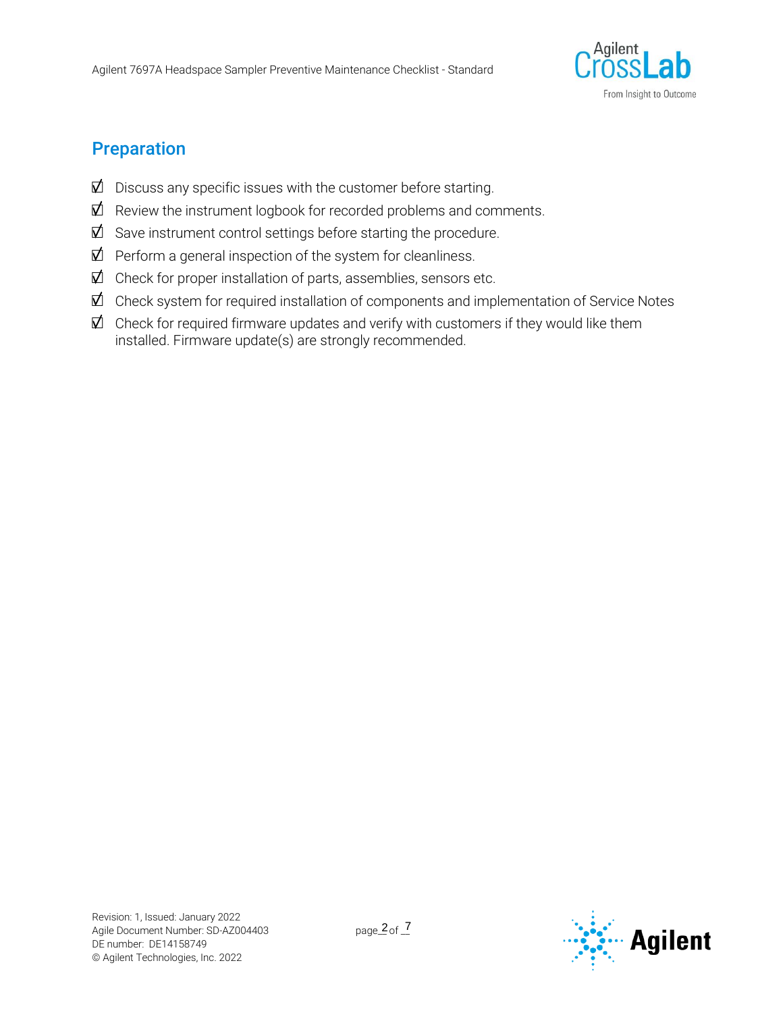

### Preparation

- $\vec{\mathbb{Z}}$  Discuss any specific issues with the customer before starting.
- $\vec{\mathbb{Z}}$  Review the instrument logbook for recorded problems and comments.
- $\mathbb Z$  Save instrument control settings before starting the procedure.
- $\vec{\mathbb{Z}}$  Perform a general inspection of the system for cleanliness.
- $\vec{\mathbb{Z}}$  Check for proper installation of parts, assemblies, sensors etc.
- $\vec{\mathbb{Z}}$  Check system for required installation of components and implementation of Service Notes
- $\vec{\mathbb{Z}}$  Check for required firmware updates and verify with customers if they would like them installed. Firmware update(s) are strongly recommended.

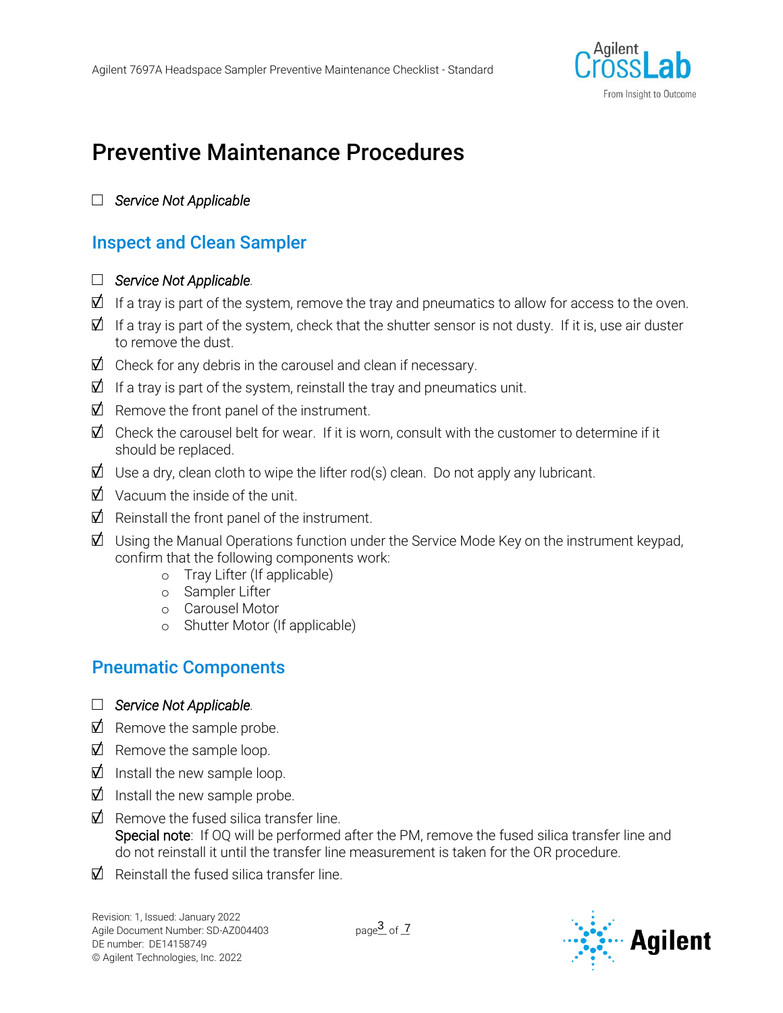

# Preventive Maintenance Procedures

#### □ *Service Not Applicable*

### Inspect and Clean Sampler

#### □ *Service Not Applicable.*

- $\vec{\mathbb{Z}}$  If a tray is part of the system, remove the tray and pneumatics to allow for access to the oven.
- $\vec{\mathbb{Z}}$  If a tray is part of the system, check that the shutter sensor is not dusty. If it is, use air duster to remove the dust.
- $\boxtimes$  Check for any debris in the carousel and clean if necessary.
- $\mathbf{\Sigma}$  If a tray is part of the system, reinstall the tray and pneumatics unit.
- $\Box$  Remove the front panel of the instrument.
- $\vec{\mathbb{Z}}$  Check the carousel belt for wear. If it is worn, consult with the customer to determine if it should be replaced.
- $\vec{\mathbb{Z}}$  Use a dry, clean cloth to wipe the lifter rod(s) clean. Do not apply any lubricant.
- $\Box$  Vacuum the inside of the unit.
- $\Box$  Reinstall the front panel of the instrument.
- $\vec{\mathbb{Z}}$  Using the Manual Operations function under the Service Mode Key on the instrument keypad, confirm that the following components work:
	- o Tray Lifter (If applicable)
	- o Sampler Lifter
	- o Carousel Motor
	- o Shutter Motor (If applicable)

### Pneumatic Components

- □ *Service Not Applicable.*
- $\overrightarrow{D}$  Remove the sample probe.
- $\vec{\mathbb{Z}}$  Remove the sample loop.
- $\Box$  Install the new sample loop.
- $\Box$  Install the new sample probe.
- $\vec{\mathsf{M}}$  Remove the fused silica transfer line. Special note: If OQ will be performed after the PM, remove the fused silica transfer line and do not reinstall it until the transfer line measurement is taken for the OR procedure.
- $\vec{\nabla}$  Reinstall the fused silica transfer line.

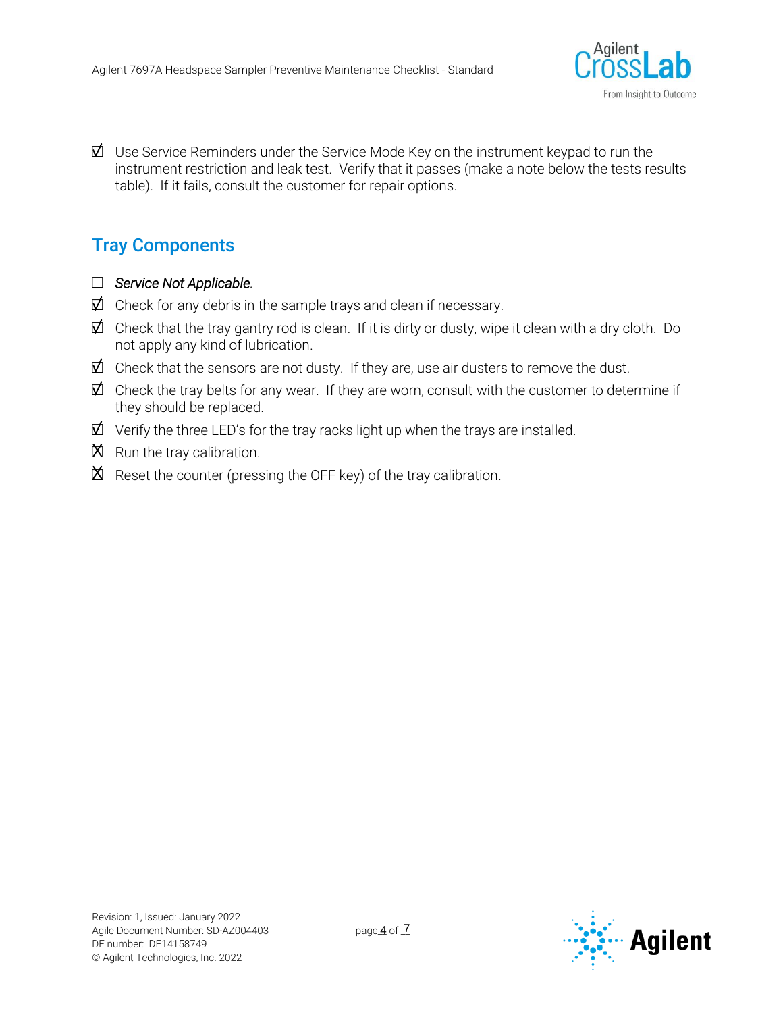

 $\vec{\mathbb{Z}}$  Use Service Reminders under the Service Mode Key on the instrument keypad to run the instrument restriction and leak test. Verify that it passes (make a note below the tests results table). If it fails, consult the customer for repair options.

### Tray Components

- □ *Service Not Applicable.*
- $\vec{\mathbb{Z}}$  Check for any debris in the sample trays and clean if necessary.
- $\vec{\mathbb{Z}}$  Check that the tray gantry rod is clean. If it is dirty or dusty, wipe it clean with a dry cloth. Do not apply any kind of lubrication.
- $\vec{\mathbb{Z}}$  Check that the sensors are not dusty. If they are, use air dusters to remove the dust.
- $\vec{\mathbb{Z}}$  Check the tray belts for any wear. If they are worn, consult with the customer to determine if they should be replaced.
- $\vec{\mathbb{Z}}$  Verify the three LED's for the tray racks light up when the trays are installed.
- $\boxtimes$  Run the tray calibration.
- $\mathbb X$  Reset the counter (pressing the OFF key) of the tray calibration.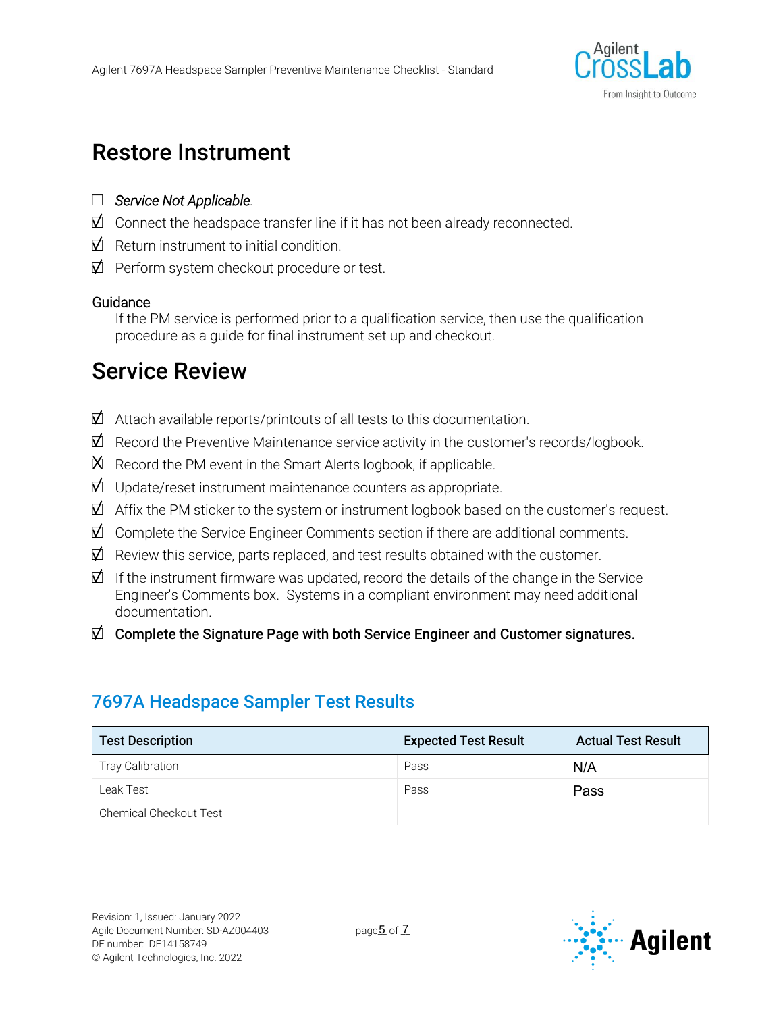

# Restore Instrument

- □ *Service Not Applicable.*
- $\mathbb Z$  Connect the headspace transfer line if it has not been already reconnected.
- $\vec{\mathsf{M}}$  Return instrument to initial condition.
- $\Box$  Perform system checkout procedure or test.

#### **Guidance**

If the PM service is performed prior to a qualification service, then use the qualification procedure as a guide for final instrument set up and checkout.

# Service Review

- $\vec{\mathbb{Z}}$  Attach available reports/printouts of all tests to this documentation.
- $\vec{\mathbb{Z}}$  Record the Preventive Maintenance service activity in the customer's records/logbook.
- $\mathbb{\breve{\Delta}}$  Record the PM event in the Smart Alerts logbook, if applicable.
- $\vec{\mathbb{Z}}$  Update/reset instrument maintenance counters as appropriate.
- $\vec{\mathbb{Z}}$  Affix the PM sticker to the system or instrument logbook based on the customer's request.
- $\vec{\mathbb{Z}}$  Complete the Service Engineer Comments section if there are additional comments.
- $\vec{\mathbb{Z}}$  Review this service, parts replaced, and test results obtained with the customer.
- $\vec{\mathbf{\Omega}}$  If the instrument firmware was updated, record the details of the change in the Service Engineer's Comments box. Systems in a compliant environment may need additional documentation.
- $\Box$  Complete the Signature Page with both Service Engineer and Customer signatures.

### 7697A Headspace Sampler Test Results

| <b>Test Description</b>       | <b>Expected Test Result</b> | <b>Actual Test Result</b> |
|-------------------------------|-----------------------------|---------------------------|
| <b>Tray Calibration</b>       | Pass                        | N/A                       |
| Leak Test                     | Pass                        | Pass                      |
| <b>Chemical Checkout Test</b> |                             |                           |

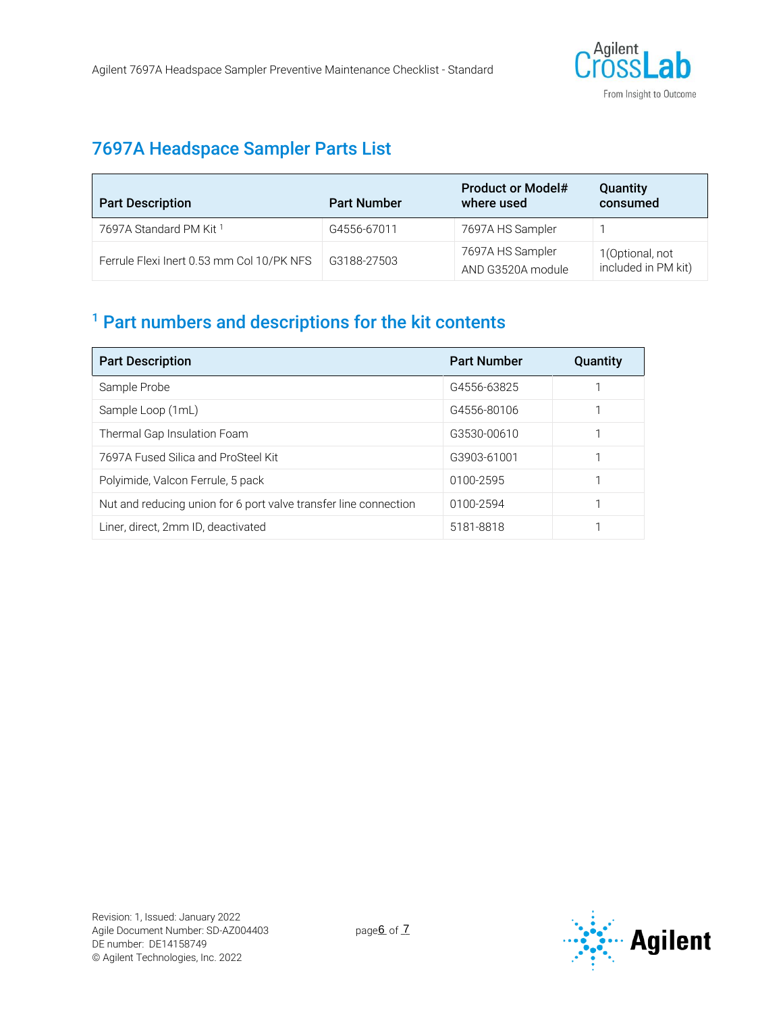

### 7697A Headspace Sampler Parts List

| <b>Part Description</b>                   | <b>Part Number</b> | <b>Product or Model#</b><br>where used | Quantity<br>consumed                   |
|-------------------------------------------|--------------------|----------------------------------------|----------------------------------------|
| 7697A Standard PM Kit 1                   | G4556-67011        | 7697A HS Sampler                       |                                        |
| Ferrule Flexi Inert 0.53 mm Col 10/PK NFS | G3188-27503        | 7697A HS Sampler<br>AND G3520A module  | 1(Optional, not<br>included in PM kit) |

## <sup>1</sup> Part numbers and descriptions for the kit contents

| <b>Part Description</b>                                          | <b>Part Number</b> | <b>Quantity</b> |
|------------------------------------------------------------------|--------------------|-----------------|
| Sample Probe                                                     | G4556-63825        |                 |
| Sample Loop (1mL)                                                | G4556-80106        |                 |
| Thermal Gap Insulation Foam                                      | G3530-00610        |                 |
| 7697A Fused Silica and ProSteel Kit                              | G3903-61001        |                 |
| Polyimide, Valcon Ferrule, 5 pack                                | 0100-2595          |                 |
| Nut and reducing union for 6 port valve transfer line connection | 0100-2594          |                 |
| Liner, direct, 2mm ID, deactivated                               | 5181-8818          |                 |

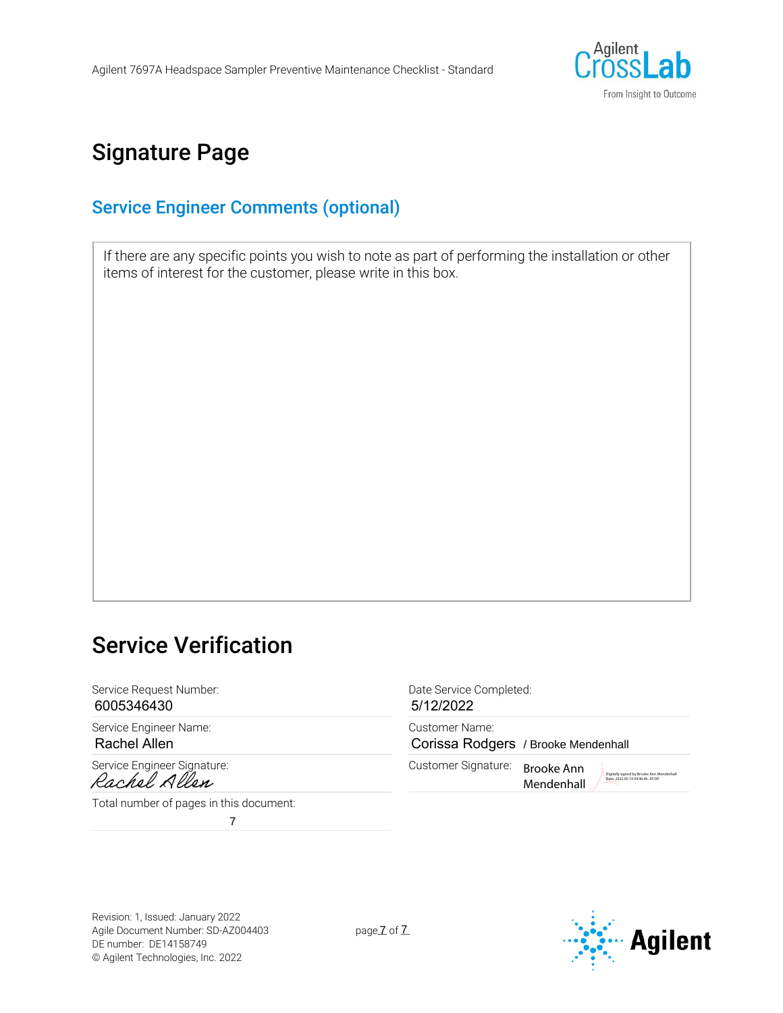

# Signature Page

#### Service Engineer Comments (optional)

If there are any specific points you wish to note as part of performing the installation or other items of interest for the customer, please write in this box.

# Service Verification

Service Request Number:  $D$  and  $D$  and  $D$  are Service Completed: 6005346430

Service Engineer Name: Customer Name: Rachel Allen

Service Engineer Signature:<br>
Customer Signature:<br>
Cachel Allen

Total number of pages in this document:

7

5/12/2022

Corissa Rodgers / Brooke Mendenhall

Brooke Ann Mendenhall Digitally signed by Brooke Ann Me

Revision: 1, Issued: January 2022 Agile Document Number: SD-AZ004403 DE number: DE14158749 © Agilent Technologies, Inc. 2022

pageZ of Z

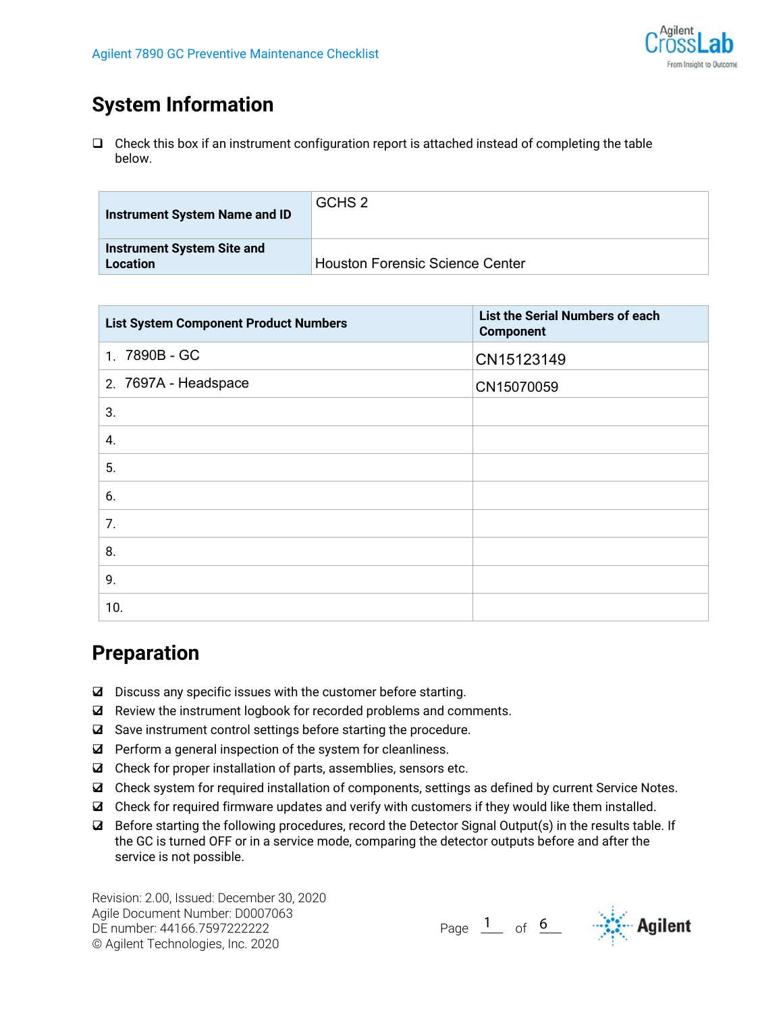

# **System Information**

 $\Box$  Check this box if an instrument configuration report is attached instead of completing the table below.

| <b>Instrument System Name and ID</b>                 | GCHS 2                                 |
|------------------------------------------------------|----------------------------------------|
| <b>Instrument System Site and</b><br><b>Location</b> | <b>Houston Forensic Science Center</b> |

| <b>List System Component Product Numbers</b> | List the Serial Numbers of each<br><b>Component</b> |
|----------------------------------------------|-----------------------------------------------------|
| 1. 7890B - GC                                | CN15123149                                          |
| 2. 7697A - Headspace                         | CN15070059                                          |
| 3.                                           |                                                     |
| 4.                                           |                                                     |
| 5.                                           |                                                     |
| 6.                                           |                                                     |
| 7.                                           |                                                     |
| 8.                                           |                                                     |
| 9.                                           |                                                     |
| 10.                                          |                                                     |

## **Preparation**

- $\boxtimes$  Discuss any specific issues with the customer before starting.
- $\boxtimes$  Review the instrument logbook for recorded problems and comments.
- Save instrument control settings before starting the procedure.
- $\boxtimes$  Perform a general inspection of the system for cleanliness.
- $\boxtimes$  Check for proper installation of parts, assemblies, sensors etc.
- Check system for required installation of components, settings as defined by current Service Notes.
- Check for required firmware updates and verify with customers if they would like them installed.
- $\Box$  Before starting the following procedures, record the Detector Signal Output(s) in the results table. If the GC is turned OFF or in a service mode, comparing the detector outputs before and after the service is not possible.

1  $_{\text{of}}$  6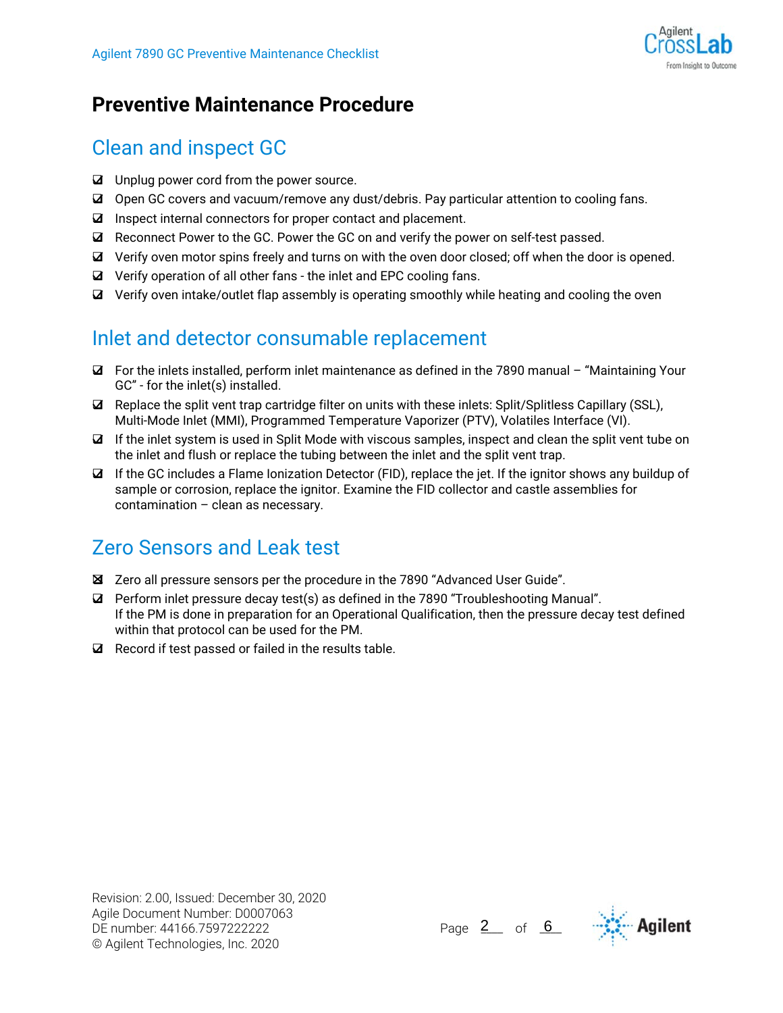

# **Preventive Maintenance Procedure**

# Clean and inspect GC

- Unplug power cord from the power source.
- Open GC covers and vacuum/remove any dust/debris. Pay particular attention to cooling fans.
- $\boxtimes$  Inspect internal connectors for proper contact and placement.
- $\boxtimes$  Reconnect Power to the GC. Power the GC on and verify the power on self-test passed.
- Verify oven motor spins freely and turns on with the oven door closed; off when the door is opened.
- $\boxtimes$  Verify operation of all other fans the inlet and EPC cooling fans.
- $\boxtimes$  Verify oven intake/outlet flap assembly is operating smoothly while heating and cooling the oven

# Inlet and detector consumable replacement

- For the inlets installed, perform inlet maintenance as defined in the 7890 manual "Maintaining Your GC" - for the inlet(s) installed.
- $\Box$  Replace the split vent trap cartridge filter on units with these inlets: Split/Splitless Capillary (SSL), Multi-Mode Inlet (MMI), Programmed Temperature Vaporizer (PTV), Volatiles Interface (VI).
- $\Box$  If the inlet system is used in Split Mode with viscous samples, inspect and clean the split vent tube on the inlet and flush or replace the tubing between the inlet and the split vent trap.
- $\boxtimes$  If the GC includes a Flame Ionization Detector (FID), replace the jet. If the ignitor shows any buildup of sample or corrosion, replace the ignitor. Examine the FID collector and castle assemblies for contamination – clean as necessary.

# Zero Sensors and Leak test

- Zero all pressure sensors per the procedure in the 7890 "Advanced User Guide".
- $\boxtimes$  Perform inlet pressure decay test(s) as defined in the 7890 "Troubleshooting Manual". If the PM is done in preparation for an Operational Qualification, then the pressure decay test defined within that protocol can be used for the PM.
- $\boxtimes$  Record if test passed or failed in the results table.

Page  $2$  of 6  $\cdots$  Agilent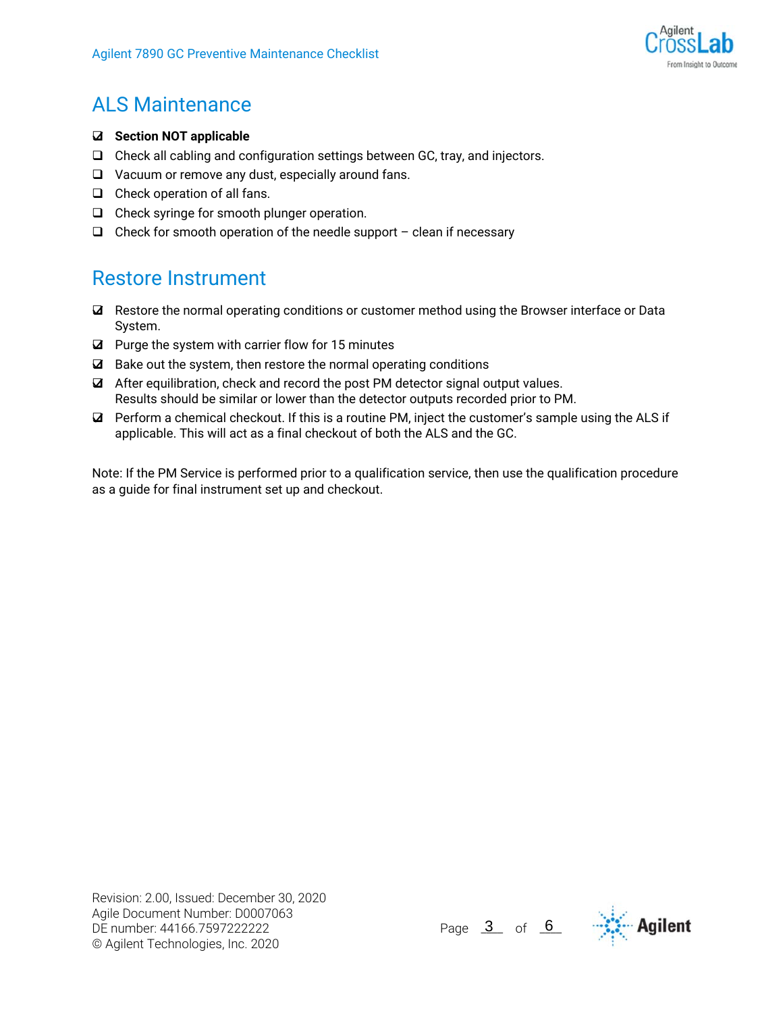

# ALS Maintenance

- **Section NOT applicable**
- $\Box$  Check all cabling and configuration settings between GC, tray, and injectors.
- □ Vacuum or remove any dust, especially around fans.
- $\Box$  Check operation of all fans.
- $\Box$  Check syringe for smooth plunger operation.
- $\Box$  Check for smooth operation of the needle support clean if necessary

## Restore Instrument

- Restore the normal operating conditions or customer method using the Browser interface or Data System.
- $\boxtimes$  Purge the system with carrier flow for 15 minutes
- $\boxtimes$  Bake out the system, then restore the normal operating conditions
- $\blacksquare$  After equilibration, check and record the post PM detector signal output values. Results should be similar or lower than the detector outputs recorded prior to PM.
- Perform a chemical checkout. If this is a routine PM, inject the customer's sample using the ALS if applicable. This will act as a final checkout of both the ALS and the GC.

Note: If the PM Service is performed prior to a qualification service, then use the qualification procedure as a guide for final instrument set up and checkout.

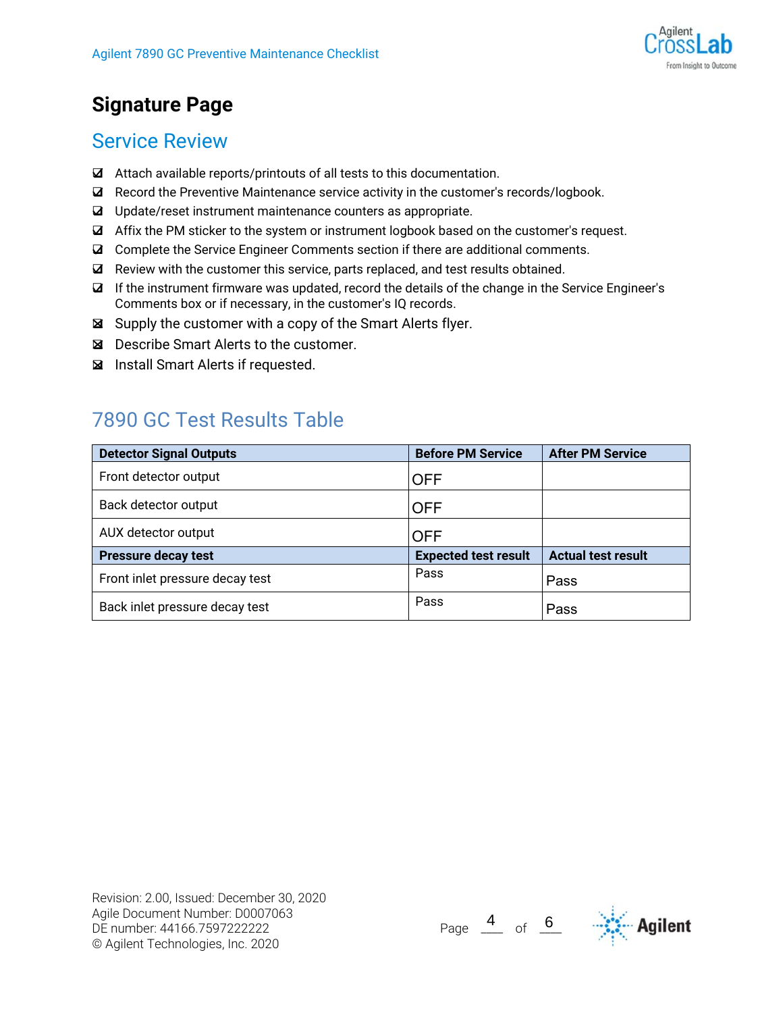

# **Signature Page**

### Service Review

- Attach available reports/printouts of all tests to this documentation.
- $\boxtimes$  Record the Preventive Maintenance service activity in the customer's records/logbook.
- Update/reset instrument maintenance counters as appropriate.
- Affix the PM sticker to the system or instrument logbook based on the customer's request.
- Complete the Service Engineer Comments section if there are additional comments.
- $\blacksquare$  Review with the customer this service, parts replaced, and test results obtained.
- If the instrument firmware was updated, record the details of the change in the Service Engineer's Comments box or if necessary, in the customer's IQ records.
- Supply the customer with a copy of the Smart Alerts flyer.
- Describe Smart Alerts to the customer.
- Install Smart Alerts if requested.

## 7890 GC Test Results Table

| <b>Detector Signal Outputs</b>  | <b>Before PM Service</b>    | <b>After PM Service</b>   |
|---------------------------------|-----------------------------|---------------------------|
| Front detector output           | OFF                         |                           |
| Back detector output            | <b>OFF</b>                  |                           |
| AUX detector output             | <b>OFF</b>                  |                           |
| <b>Pressure decay test</b>      | <b>Expected test result</b> | <b>Actual test result</b> |
| Front inlet pressure decay test | Pass                        | Pass                      |
| Back inlet pressure decay test  | Pass                        | Pass                      |



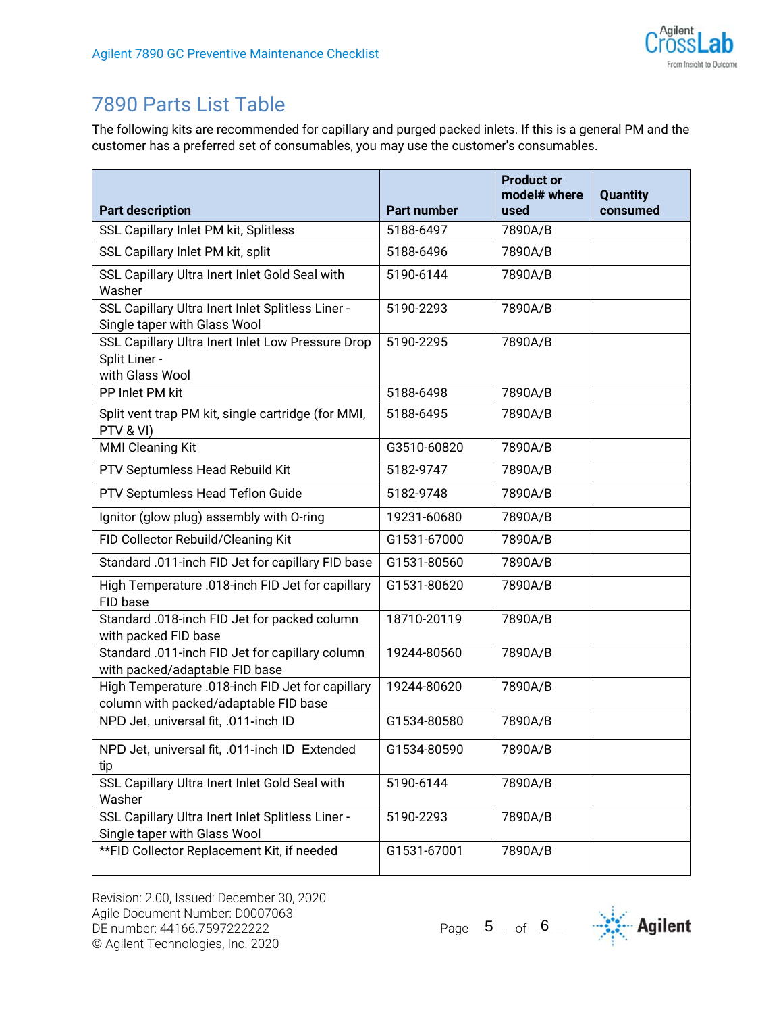

# 7890 Parts List Table

The following kits are recommended for capillary and purged packed inlets. If this is a general PM and the customer has a preferred set of consumables, you may use the customer's consumables.

| <b>Part description</b>                                                                   | <b>Part number</b> | <b>Product or</b><br>model# where<br>used | <b>Quantity</b><br>consumed |
|-------------------------------------------------------------------------------------------|--------------------|-------------------------------------------|-----------------------------|
| SSL Capillary Inlet PM kit, Splitless                                                     | 5188-6497          | 7890A/B                                   |                             |
| SSL Capillary Inlet PM kit, split                                                         | 5188-6496          | 7890A/B                                   |                             |
| SSL Capillary Ultra Inert Inlet Gold Seal with<br>Washer                                  | 5190-6144          | 7890A/B                                   |                             |
| SSL Capillary Ultra Inert Inlet Splitless Liner -<br>Single taper with Glass Wool         | 5190-2293          | 7890A/B                                   |                             |
| SSL Capillary Ultra Inert Inlet Low Pressure Drop<br>Split Liner -<br>with Glass Wool     | 5190-2295          | 7890A/B                                   |                             |
| PP Inlet PM kit                                                                           | 5188-6498          | 7890A/B                                   |                             |
| Split vent trap PM kit, single cartridge (for MMI,<br>PTV & VI)                           | 5188-6495          | 7890A/B                                   |                             |
| <b>MMI Cleaning Kit</b>                                                                   | G3510-60820        | 7890A/B                                   |                             |
| PTV Septumless Head Rebuild Kit                                                           | 5182-9747          | 7890A/B                                   |                             |
| PTV Septumless Head Teflon Guide                                                          | 5182-9748          | 7890A/B                                   |                             |
| Ignitor (glow plug) assembly with O-ring                                                  | 19231-60680        | 7890A/B                                   |                             |
| FID Collector Rebuild/Cleaning Kit                                                        | G1531-67000        | 7890A/B                                   |                             |
| Standard .011-inch FID Jet for capillary FID base                                         | G1531-80560        | 7890A/B                                   |                             |
| High Temperature .018-inch FID Jet for capillary<br>FID base                              | G1531-80620        | 7890A/B                                   |                             |
| Standard .018-inch FID Jet for packed column<br>with packed FID base                      | 18710-20119        | 7890A/B                                   |                             |
| Standard .011-inch FID Jet for capillary column<br>with packed/adaptable FID base         | 19244-80560        | 7890A/B                                   |                             |
| High Temperature .018-inch FID Jet for capillary<br>column with packed/adaptable FID base | 19244-80620        | 7890A/B                                   |                             |
| NPD Jet, universal fit, .011-inch ID                                                      | G1534-80580        | 7890A/B                                   |                             |
| NPD Jet, universal fit, .011-inch ID Extended<br>tip                                      | G1534-80590        | 7890A/B                                   |                             |
| SSL Capillary Ultra Inert Inlet Gold Seal with<br>Washer                                  | 5190-6144          | 7890A/B                                   |                             |
| SSL Capillary Ultra Inert Inlet Splitless Liner -<br>Single taper with Glass Wool         | 5190-2293          | 7890A/B                                   |                             |
| ** FID Collector Replacement Kit, if needed                                               | G1531-67001        | 7890A/B                                   |                             |

Page  $\overline{5}$  of  $\overline{6}$